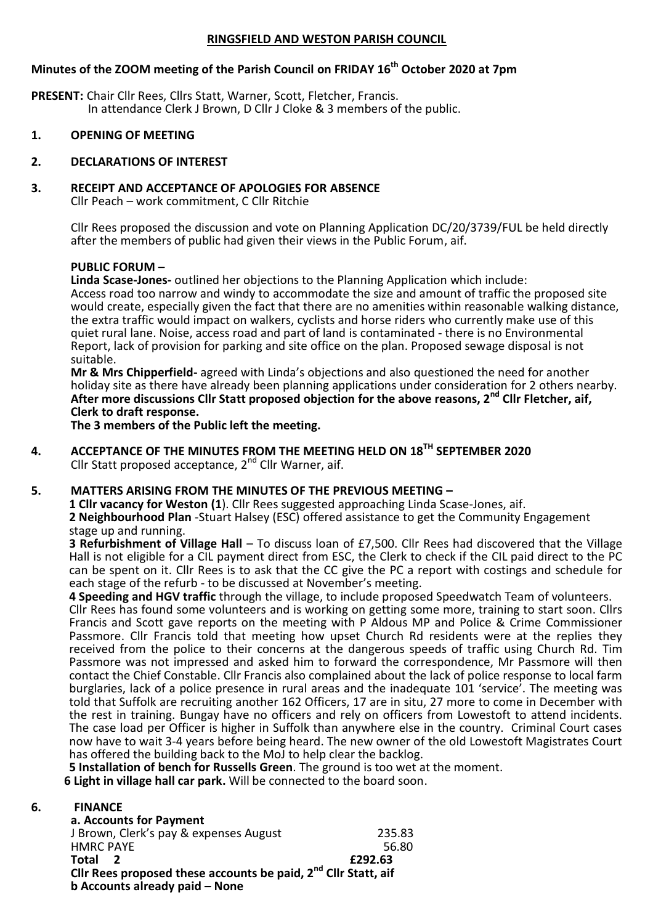#### **RINGSFIELD AND WESTON PARISH COUNCIL**

# **Minutes of the ZOOM meeting of the Parish Council on FRIDAY 16th October 2020 at 7pm**

**PRESENT:** Chair Cllr Rees, Cllrs Statt, Warner, Scott, Fletcher, Francis. In attendance Clerk J Brown, D Cllr J Cloke & 3 members of the public.

**1. OPENING OF MEETING**

### **2. DECLARATIONS OF INTEREST**

### **3. RECEIPT AND ACCEPTANCE OF APOLOGIES FOR ABSENCE**

Cllr Peach – work commitment, C Cllr Ritchie

Cllr Rees proposed the discussion and vote on Planning Application DC/20/3739/FUL be held directly after the members of public had given their views in the Public Forum, aif.

#### **PUBLIC FORUM –**

**Linda Scase-Jones-** outlined her objections to the Planning Application which include: Access road too narrow and windy to accommodate the size and amount of traffic the proposed site would create, especially given the fact that there are no amenities within reasonable walking distance, the extra traffic would impact on walkers, cyclists and horse riders who currently make use of this quiet rural lane. Noise, access road and part of land is contaminated - there is no Environmental Report, lack of provision for parking and site office on the plan. Proposed sewage disposal is not suitable.

**Mr & Mrs Chipperfield-** agreed with Linda's objections and also questioned the need for another holiday site as there have already been planning applications under consideration for 2 others nearby. **After more discussions Cllr Statt proposed objection for the above reasons, 2nd Cllr Fletcher, aif, Clerk to draft response.**

**The 3 members of the Public left the meeting.**

**4. ACCEPTANCE OF THE MINUTES FROM THE MEETING HELD ON 18TH SEPTEMBER 2020** Cllr Statt proposed acceptance, 2nd Cllr Warner, aif.

#### **5. MATTERS ARISING FROM THE MINUTES OF THE PREVIOUS MEETING –**

**1 Cllr vacancy for Weston (1**). Cllr Rees suggested approaching Linda Scase-Jones, aif. **2 Neighbourhood Plan** -Stuart Halsey (ESC) offered assistance to get the Community Engagement stage up and running.

**3 Refurbishment of Village Hall** – To discuss loan of £7,500. Cllr Rees had discovered that the Village Hall is not eligible for a CIL payment direct from ESC, the Clerk to check if the CIL paid direct to the PC can be spent on it. Cllr Rees is to ask that the CC give the PC a report with costings and schedule for each stage of the refurb - to be discussed at November's meeting.

**4 Speeding and HGV traffic** through the village, to include proposed Speedwatch Team of volunteers. Cllr Rees has found some volunteers and is working on getting some more, training to start soon. Cllrs Francis and Scott gave reports on the meeting with P Aldous MP and Police & Crime Commissioner Passmore. Cllr Francis told that meeting how upset Church Rd residents were at the replies they received from the police to their concerns at the dangerous speeds of traffic using Church Rd. Tim Passmore was not impressed and asked him to forward the correspondence, Mr Passmore will then contact the Chief Constable. Cllr Francis also complained about the lack of police response to local farm burglaries, lack of a police presence in rural areas and the inadequate 101 'service'. The meeting was told that Suffolk are recruiting another 162 Officers, 17 are in situ, 27 more to come in December with the rest in training. Bungay have no officers and rely on officers from Lowestoft to attend incidents. The case load per Officer is higher in Suffolk than anywhere else in the country. Criminal Court cases now have to wait 3-4 years before being heard. The new owner of the old Lowestoft Magistrates Court has offered the building back to the MoJ to help clear the backlog.

**5 Installation of bench for Russells Green**. The ground is too wet at the moment.

 **6 Light in village hall car park.** Will be connected to the board soon.

#### **6. FINANCE**

| a. Accounts for Payment                                                    |         |
|----------------------------------------------------------------------------|---------|
| J Brown, Clerk's pay & expenses August                                     | 235.83  |
| <b>HMRC PAYE</b>                                                           | 56.80   |
| Total 2                                                                    | £292.63 |
| Cllr Rees proposed these accounts be paid, 2 <sup>nd</sup> Cllr Statt, aif |         |
| b Accounts already paid - None                                             |         |